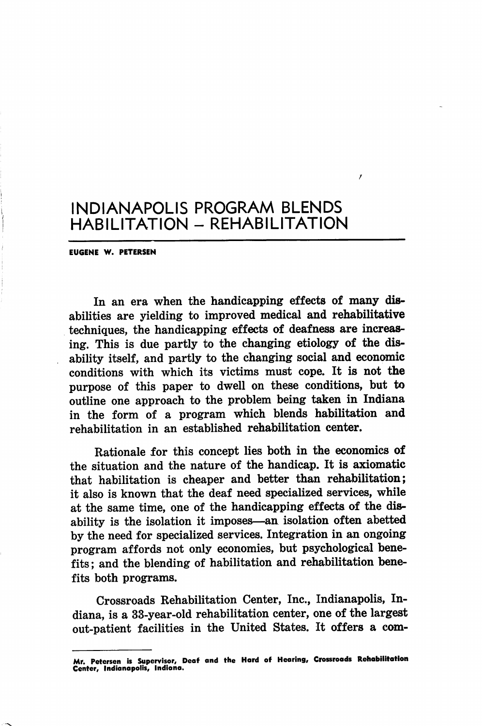EU6ENE W. PETERSEN

In an era when the handicapping effects of many dis abilities are yielding to improved medical and rehabilitative techniques, the handicapping effects of deafness are increas ing. This is due partly to the changing etiology of the disability itself, and partly to the changing social and economic conditions with which its victims must cope. It is not the purpose of this paper to dwell on these conditions, but to outline one approach to the problem being taken in Indiana in the form of a program which blends habilitation and rehabilitation in an established rehabilitation center.

Rationale for this concept lies both in the economics of the situation and the nature of the handicap. It is axiomatic that habilitation is cheaper and better than rehabilitation; it also is known that the deaf need specialized services, while at the same time, one of the handicapping effects of the dis ability is the isolation it imposes—an isolation often abetted by the need for specialized services. Integration in an ongoing program affords not only economies, but psychological bene fits ; and the blending of habilitation and rehabilitation bene fits both programs.

Crossroads Rehabilitation Center, Inc., Indianapolis, In diana, is a 33-year-old rehabilitation center, one of the largest out-patient facilities in the United States. It offers a com-

Mr. Petersen is Supervisor, Deof and the Hard of Hcoring, Crossroods Rehobilitotion Center, indionopolis, Indiono.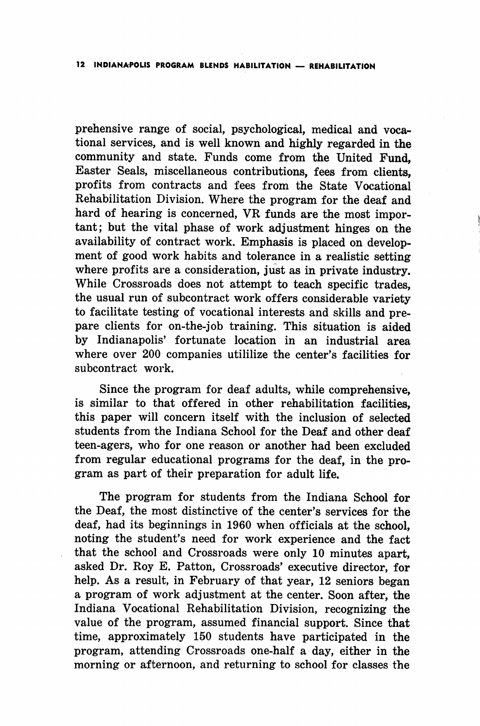prehensive range of social, psychological, medical and voca tional services, and is well known and highly regarded in the community and state. Funds come from the United Fund, Easter Seals, miscellaneous contributions, fees from clients, profits from contracts and fees from the State Vocational Rehabilitation Division. Where the program for the deaf and hard of hearing is concerned, VR funds are the most important; but the vital phase of work adjustment hinges on the availability of contract work. Emphasis is placed on develop ment of good work habits and tolerance in a realistic setting where profits are a consideration, just as in private industry. While Crossroads does not attempt to teach specific trades, the usual run of subcontract work offers considerable variety to facilitate testing of vocational interests and skills and pre pare clients for on-the-job training. This situation is aided by Indianapolis' fortunate location in an industrial area where over 200 companies utililize the center's facilities for subcontract work.

Since the program for deaf adults, while comprehensive, is similar to that offered in other rehabilitation facilities, this paper will concern itself with the inclusion of selected students from the Indiana School for the Deaf and other deaf teen-agers, who for one reason or another had been excluded from regular educational programs for the deaf, in the pro gram as part of their preparation for adult life.

The program for students from the Indiana School for the Deaf, the most distinctive of the center's services for the deaf, had its beginnings in 1960 when officials at the school, noting the student's need for work experience and the fact that the school and Crossroads were only 10 minutes apart, asked Dr. Roy E. Patton, Crossroads' executive director, for help. As a result, in February of that year, 12 seniors began a program of work adjustment at the center. Soon after, the Indiana Vocational Rehabilitation Division, recognizing the value of the program, assumed financial support. Since that time, approximately 150 students have participated in the program, attending Crossroads one-half a day, either in the morning or afternoon, and returning to school for classes the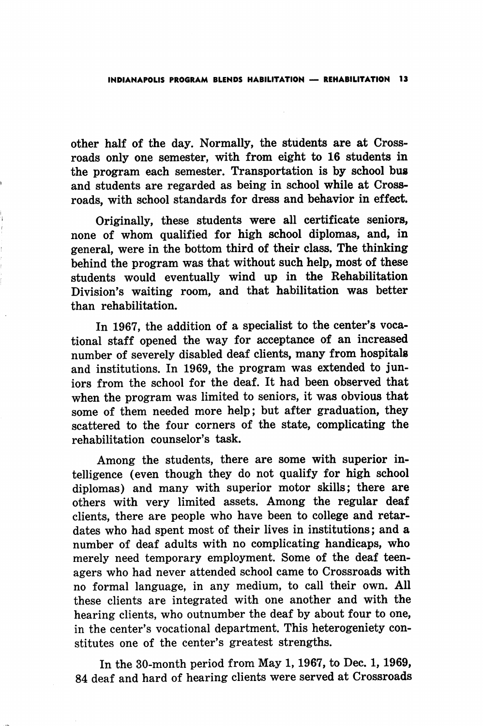other half of the day. Normally, the students are at Cross roads only one semester, with from eight to 16 students in the program each semester. Transportation is by school bus and students are regarded as being in school while at Cross roads, with school standards for dress and behavior in effect.

Originally, these students were all certificate seniors, none of whom qualified for high school diplomas, and, in general, were in the bottom third of their class. The thinking behind the program was that without such help, most of these students would eventually wind up in the Rehabilitation Division's waiting room, and that habilitation was better than rehabilitation.

In 1967, the addition of a specialist to the center's voca tional staff opened the way for acceptance of an increased number of severely disabled deaf clients, many from hospitals and institutions. In 1969, the program was extended to jun iors from the school for the deaf. It had been observed that when the program was limited to seniors, it was obvious that some of them needed more help; but after graduation, they scattered to the four corners of the state, complicating the rehabilitation counselor's task.

Among the students, there are some with superior in telligence (even though they do not qualify for high school diplomas) and many with superior motor skills; there are others with very limited assets. Among the regular deaf clients, there are people who have been to college and retar dates who had spent most of their lives in institutions; and a number of deaf adults with no complicating handicaps, who merely need temporary employment. Some of the deaf teen agers who had never attended school came to Crossroads with no formal language, in any medium, to call their own. All these clients are integrated with one another and with the hearing clients, who outnumber the deaf by about four to one, in the center's vocational department. This heterogeniety con stitutes one of the center's greatest strengths.

In the 30-month period from May 1,1967, to Dec. 1,1969, 84 deaf and hard of hearing clients were served at Crossroads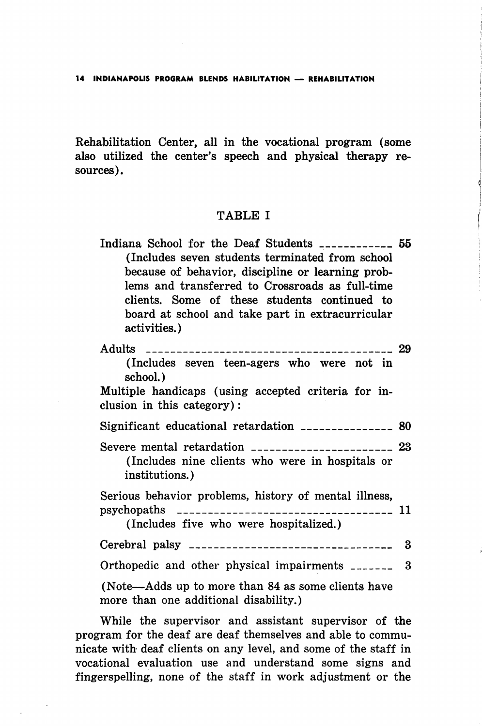Rehabilitation Center, all in the vocational program (some also utilized the center's speech and physical therapy re sources).

## TABLE I

| Indiana School for the Deaf Students _____________ 55            |  |
|------------------------------------------------------------------|--|
| (Includes seven students terminated from school                  |  |
| because of behavior, discipline or learning prob-                |  |
| lems and transferred to Crossroads as full-time                  |  |
| clients. Some of these students continued to                     |  |
| board at school and take part in extracurricular<br>activities.) |  |

| (Includes seven teen-agers who were not in<br>school.)                                          |  |
|-------------------------------------------------------------------------------------------------|--|
| Multiple handicaps (using accepted criteria for in-<br>clusion in this category):               |  |
| Significant educational retardation ________________ 80                                         |  |
| (Includes nine clients who were in hospitals or<br>institutions.)                               |  |
| Serious behavior problems, history of mental illness,<br>(Includes five who were hospitalized.) |  |
|                                                                                                 |  |
| Orthopedic and other physical impairments ________ 3                                            |  |
| (Note—Adds up to more than 84 as some clients have<br>more than one additional disability.)     |  |

While the supervisor and assistant supervisor of the program for the deaf are deaf themselves and able to commu nicate with deaf clients on any level, and some of the staff in vocational evaluation use and understand some signs and fingerspelling, none of the staff in work adjustment or the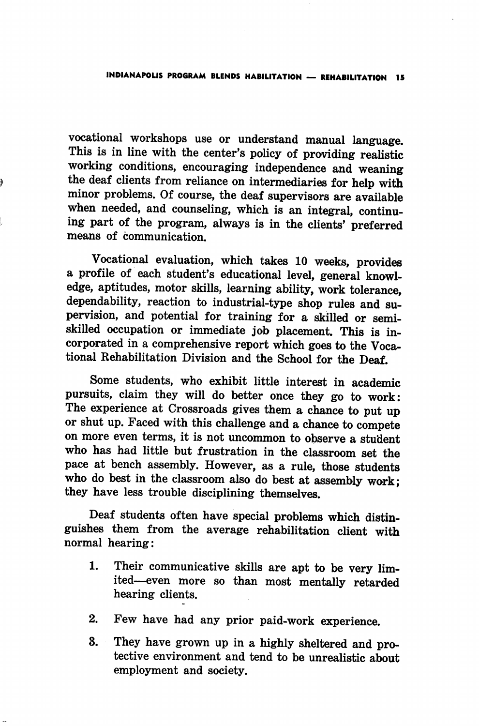vocational workshops use or understand manual language. This is in line with the center's policy of providing realistic working conditions, encouraging independence and weaning the deaf clients from reliance on intermediaries for help with minor problems. Of course, the deaf supervisors are available when needed, and counseling, which is an integral, continu ing part of the program, always is in the clients' preferred means of communication.

þ

Vocational evaluation, which takes 10 weeks, provides a profile of each student's educational level, general knowl edge, aptitudes, motor skills, learning ability, work tolerance, dependability, reaction to industrial-type shop rules and su pervision, and potential for training for a skilled or semi skilled occupation or immediate job placement. This is in corporated in a comprehensive report which goes to the Voca tional Rehabilitation Division and the School for the Deaf.

Some students, who exhibit little interest in academic pursuits, claim they will do better once they go to work: The experience at Crossroads gives them a chance to put up or shut up. Faced with this challenge and a chance to compete on more even terms, it is not uncommon to observe a student who has had little but frustration in the classroom set the pace at bench assembly. However, as a rule, those students who do best in the classroom also do best at assembly work; they have less trouble disciplining themselves.

Deaf students often have special problems which distin guishes them from the average rehabilitation client with normal hearing:

- 1. Their communicative skills are apt to be very lim ited—even more so than most mentally retarded hearing clients.
- 2. Few have had any prior paid-work experience.
- 3. They have grown up in a highly sheltered and pro tective environment and tend to be unrealistic about employment and society.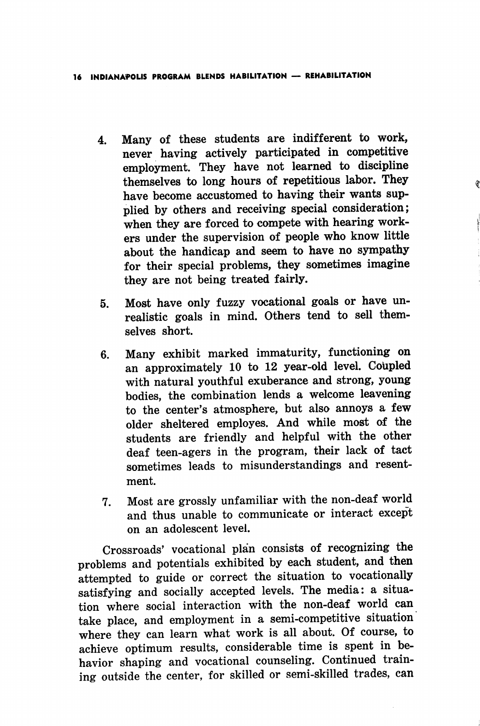- 4. Many of these students are indifferent to work, never having actively participated in competitive employment. They have not learned to discipline themselves to long hours of repetitious labor. They have become accustomed to having their wants sup plied by others and receiving special consideration; when they are forced to compete with hearing work ers under the supervision of people who know little about the handicap and seem to have no sympathy for their special problems, they sometimes imagine they are not being treated fairly.
- 5. Most have only fuzzy vocational goals or have un realistic goals in mind. Others tend to sell them selves short.
- 6. Many exhibit marked immaturity, functioning on an approximately 10 to 12 year-old level. Coupled with natural youthful exuberance and strong, young bodies, the combination lends a welcome leavening to the center's atmosphere, but also annoys a few older sheltered employes. And while most of the students are friendly and helpful with the other deaf teen-agers in the program, their lack of tact sometimes leads to misunderstandings and resent ment.
- 7. Most are grossly unfamiliar with the non-deaf world and thus unable to communicate or interact except on an adolescent level.

Crossroads' vocational plan consists of recognizing the problems and potentials exhibited by each student, and then attempted to guide or correct the situation to vocationally satisfying and socially accepted levels. The media: a situa tion where social interaction with the non-deaf world can take place, and employment in a semi-competitive situation where they can learn what work is all about. Of course, to achieve optimum results, considerable time is spent in be havior shaping and vocational counseling. Continued train ing outside the center, for skilled or semi-skilled trades, can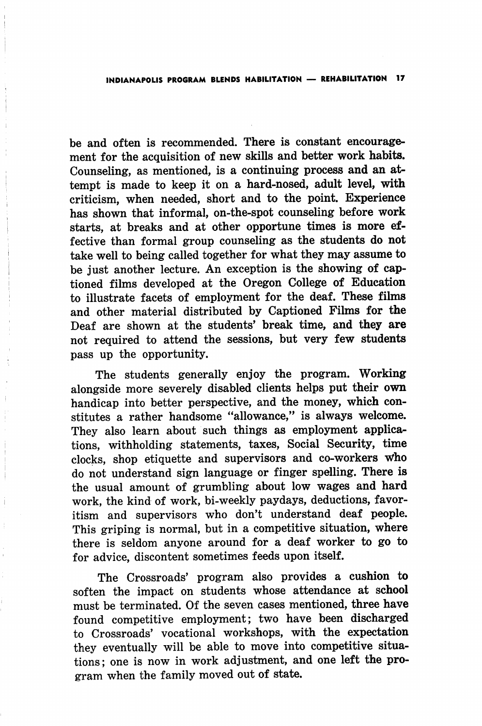be and often is recommended. There is constant encourage ment for the acquisition of new skills and better work habits. Counseling, as mentioned, is a continuing process and an at tempt is made to keep it on a hard-nosed, adult level, with criticism, when needed, short and to the point. Experience has shown that informal, on-the-spot counseling before work starts, at breaks and at other opportune times is more ef fective than formal group counseling as the students do not take well to being called together for what they may assume to be just another lecture. An exception is the showing of captioned films developed at the Oregon College of Education to illustrate facets of employment for the deaf. These films and other material distributed by Captioned Films for the Deaf are shown at the students' break time, and they are not required to attend the sessions, but very few students pass up the opportunity.

The students generally enjoy the program. Working alongside more severely disabled clients helps put their own handicap into better perspective, and the money, which con stitutes a rather handsome "allowance," is always welcome. They also learn about such things as employment applications, withholding statements, taxes. Social Security, time clocks, shop etiquette and supervisors and co-workers Who do not understand sign language or finger spelling. There is the usual amount of grumbling about low wages and hard work, the kind of work, bi-weekly paydays, deductions, favor itism and supervisors who don't understand deaf people. This griping is normal, but in a competitive situation, where there is seldom anyone around for a deaf worker to go to for advice, discontent sometimes feeds upon itself.

The Crossroads' program also provides a cushion to soften the impact on students whose attendance at school must be terminated. Of the seven cases mentioned, three have found competitive employment; two have been discharged to Crossroads' vocational workshops, with the expectation they eventually will be able to move into competitive situa tions; one is now in work adjustment, and one left the pro gram when the family moved out of state.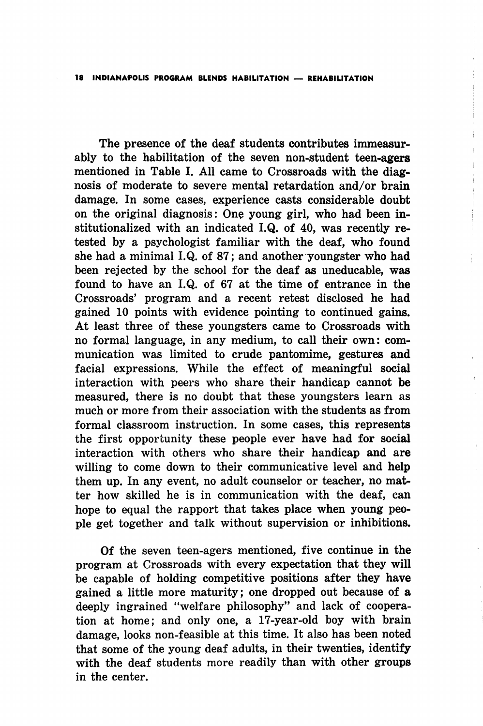The presence of the deaf students contributes immeasur ably to the habilitation of the seven non-student teen-agers mentioned in Table I. All came to Crossroads with the diag nosis of moderate to severe mental retardation and/or brain damage. In some cases, experience casts considerable doubt on the original diagnosis: One young girl, who had been in stitutionalized with an indicated I.Q. of 40, was recently retested by a psychologist familiar with the deaf, who found she had a minimal I.Q. of 87; and another youngster who had been rejected by the school for the deaf as uneducable, was found to have an I.Q. of 67 at the time of entrance in the Crossroads' program and a recent retest disclosed he had gained 10 points with evidence pointing to continued gains. At least three of these youngsters came to Crossroads with no formal language, in any medium, to call their own: com munication was limited to crude pantomime, gestures and facial expressions. While the effect of meaningful social interaction with peers who share their handicap cannot be measured, there is no doubt that these youngsters learn as much or more from their association with the students as from formal classroom instruction. In some cases, this represents the first opportunity these people ever have had for social interaction with others who share their handicap and are willing to come down to their communicative level and help them up. In any event, no adult counselor or teacher, no mat ter how skilled he is in communication with the deaf, can hope to equal the rapport that takes place when young peo ple get together and talk without supervision or inhibitions.

Of the seven teen-agers mentioned, five continue in the program at Crossroads with every expectation that they will be capable of holding competitive positions after they have gained a little more maturity; one dropped out because of a deeply ingrained "welfare philosophy" and lack of coopera tion at home; and only one, a 17-year-old boy with brain damage, looks non-feasible at this time. It also has been noted that some of the young deaf adults, in their twenties, identify with the deaf students more readily than with other groups in the center.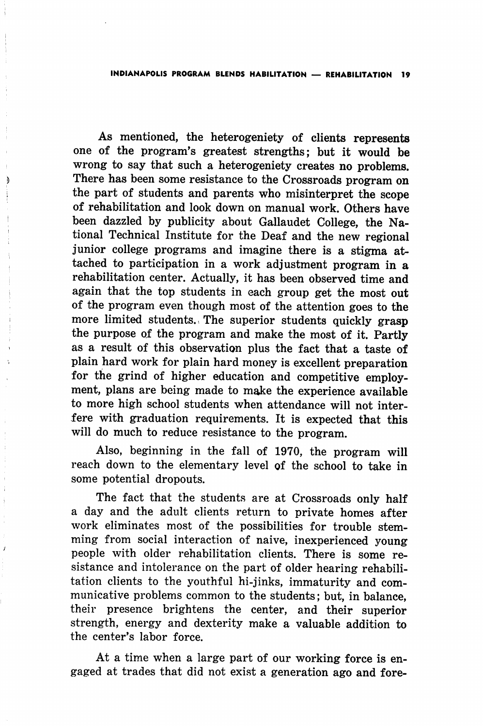As mentioned, the heterogeniety of clients represents one of the program's greatest strengths; but it would be wrong to say that such a heterogeniety creates no problems. There has been some resistance to the Crossroads program on the part of students and parents who misinterpret the scope of rehabilitation and look down on manual work. Others have been dazzled by publicity about Gallaudet College, the Na tional Technical Institute for the Deaf and the new regional junior college programs and imagine there is a stigma attached to participation in a work adjustment program in a rehabilitation center. Actually, it has been observed time and again that the top students in each group get the most out of the program even though most of the attention goes to the more limited students., The superior students quickly grasp the purpose of the program and make the most of it. Partly as a result of this observation plus the fact that a taste of plain hard work for plain hard money is excellent preparation for the grind of higher education and competitive employ ment, plans are being made to make the experience available to more high school students when attendance will not inter fere with graduation requirements. It is expected that will do much to reduce resistance to the program.

ð

 $\frac{1}{2}$ 

 $\mathbf{r}$ 

Also, beginning in the fall of 1970, the program will reach down to the elementary level of the school to take in some potential dropouts.

The fact that the students are at Crossroads only half a day and the adult clients return to private homes after work eliminates most of the possibilities for trouble stem ming from social interaction of naive, inexperienced young people with older rehabilitation clients. There is some re sistance and intolerance on the part of older hearing rehabili tation clients to the youthful hi-jinks, immaturity and com municative problems common to the students; but, in balance, their presence brightens the center, and their superior strength, energy and dexterity make a valuable addition to the center's labor force.

At a time when a large part of our working force is en gaged at trades that did not exist a generation ago and fore-